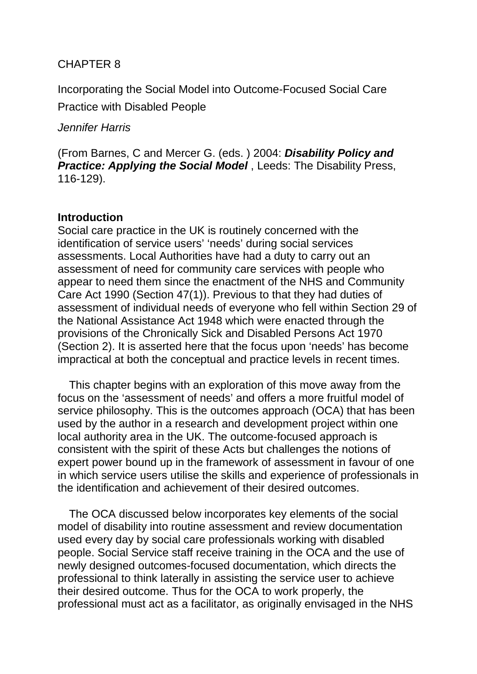# CHAPTER 8

Incorporating the Social Model into Outcome-Focused Social Care Practice with Disabled People

## *Jennifer Harris*

(From Barnes, C and Mercer G. (eds. ) 2004: *Disability Policy and Practice: Applying the Social Model*, Leeds: The Disability Press, 116-129).

## **Introduction**

Social care practice in the UK is routinely concerned with the identification of service users' 'needs' during social services assessments. Local Authorities have had a duty to carry out an assessment of need for community care services with people who appear to need them since the enactment of the NHS and Community Care Act 1990 (Section 47(1)). Previous to that they had duties of assessment of individual needs of everyone who fell within Section 29 of the National Assistance Act 1948 which were enacted through the provisions of the Chronically Sick and Disabled Persons Act 1970 (Section 2). It is asserted here that the focus upon 'needs' has become impractical at both the conceptual and practice levels in recent times.

This chapter begins with an exploration of this move away from the focus on the 'assessment of needs' and offers a more fruitful model of service philosophy. This is the outcomes approach (OCA) that has been used by the author in a research and development project within one local authority area in the UK. The outcome-focused approach is consistent with the spirit of these Acts but challenges the notions of expert power bound up in the framework of assessment in favour of one in which service users utilise the skills and experience of professionals in the identification and achievement of their desired outcomes.

The OCA discussed below incorporates key elements of the social model of disability into routine assessment and review documentation used every day by social care professionals working with disabled people. Social Service staff receive training in the OCA and the use of newly designed outcomes-focused documentation, which directs the professional to think laterally in assisting the service user to achieve their desired outcome. Thus for the OCA to work properly, the professional must act as a facilitator, as originally envisaged in the NHS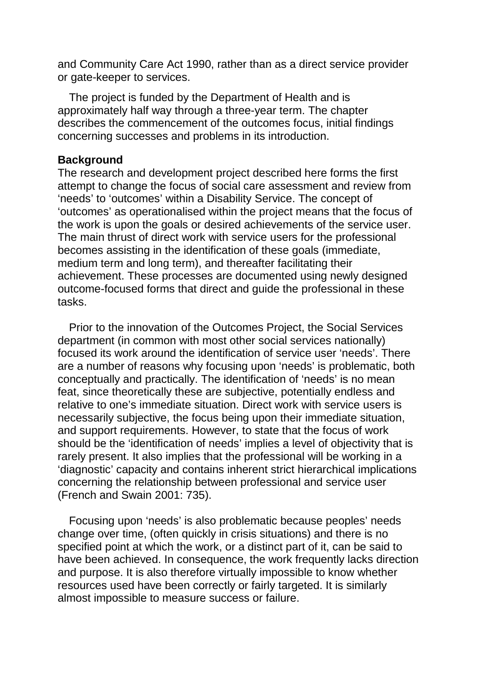and Community Care Act 1990, rather than as a direct service provider or gate-keeper to services.

The project is funded by the Department of Health and is approximately half way through a three-year term. The chapter describes the commencement of the outcomes focus, initial findings concerning successes and problems in its introduction.

#### **Background**

The research and development project described here forms the first attempt to change the focus of social care assessment and review from 'needs' to 'outcomes' within a Disability Service. The concept of 'outcomes' as operationalised within the project means that the focus of the work is upon the goals or desired achievements of the service user. The main thrust of direct work with service users for the professional becomes assisting in the identification of these goals (immediate, medium term and long term), and thereafter facilitating their achievement. These processes are documented using newly designed outcome-focused forms that direct and guide the professional in these tasks.

Prior to the innovation of the Outcomes Project, the Social Services department (in common with most other social services nationally) focused its work around the identification of service user 'needs'. There are a number of reasons why focusing upon 'needs' is problematic, both conceptually and practically. The identification of 'needs' is no mean feat, since theoretically these are subjective, potentially endless and relative to one's immediate situation. Direct work with service users is necessarily subjective, the focus being upon their immediate situation, and support requirements. However, to state that the focus of work should be the 'identification of needs' implies a level of objectivity that is rarely present. It also implies that the professional will be working in a 'diagnostic' capacity and contains inherent strict hierarchical implications concerning the relationship between professional and service user (French and Swain 2001: 735).

Focusing upon 'needs' is also problematic because peoples' needs change over time, (often quickly in crisis situations) and there is no specified point at which the work, or a distinct part of it, can be said to have been achieved. In consequence, the work frequently lacks direction and purpose. It is also therefore virtually impossible to know whether resources used have been correctly or fairly targeted. It is similarly almost impossible to measure success or failure.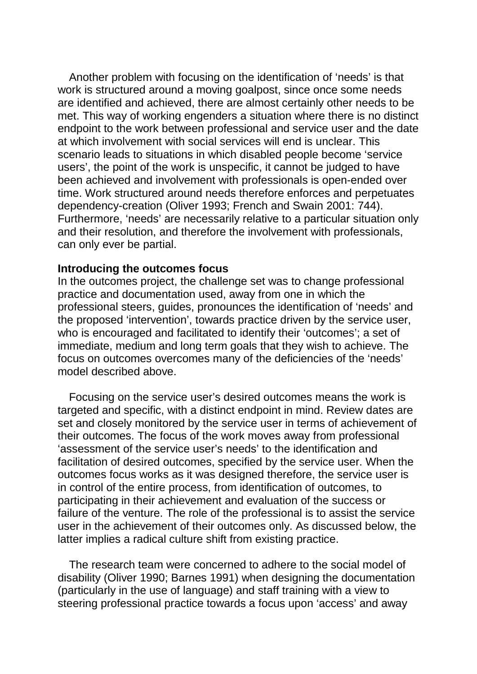Another problem with focusing on the identification of 'needs' is that work is structured around a moving goalpost, since once some needs are identified and achieved, there are almost certainly other needs to be met. This way of working engenders a situation where there is no distinct endpoint to the work between professional and service user and the date at which involvement with social services will end is unclear. This scenario leads to situations in which disabled people become 'service users', the point of the work is unspecific, it cannot be judged to have been achieved and involvement with professionals is open-ended over time. Work structured around needs therefore enforces and perpetuates dependency-creation (Oliver 1993; French and Swain 2001: 744). Furthermore, 'needs' are necessarily relative to a particular situation only and their resolution, and therefore the involvement with professionals, can only ever be partial.

#### **Introducing the outcomes focus**

In the outcomes project, the challenge set was to change professional practice and documentation used, away from one in which the professional steers, guides, pronounces the identification of 'needs' and the proposed 'intervention', towards practice driven by the service user, who is encouraged and facilitated to identify their 'outcomes'; a set of immediate, medium and long term goals that they wish to achieve. The focus on outcomes overcomes many of the deficiencies of the 'needs' model described above.

Focusing on the service user's desired outcomes means the work is targeted and specific, with a distinct endpoint in mind. Review dates are set and closely monitored by the service user in terms of achievement of their outcomes. The focus of the work moves away from professional 'assessment of the service user's needs' to the identification and facilitation of desired outcomes, specified by the service user. When the outcomes focus works as it was designed therefore, the service user is in control of the entire process, from identification of outcomes, to participating in their achievement and evaluation of the success or failure of the venture. The role of the professional is to assist the service user in the achievement of their outcomes only. As discussed below, the latter implies a radical culture shift from existing practice.

The research team were concerned to adhere to the social model of disability (Oliver 1990; Barnes 1991) when designing the documentation (particularly in the use of language) and staff training with a view to steering professional practice towards a focus upon 'access' and away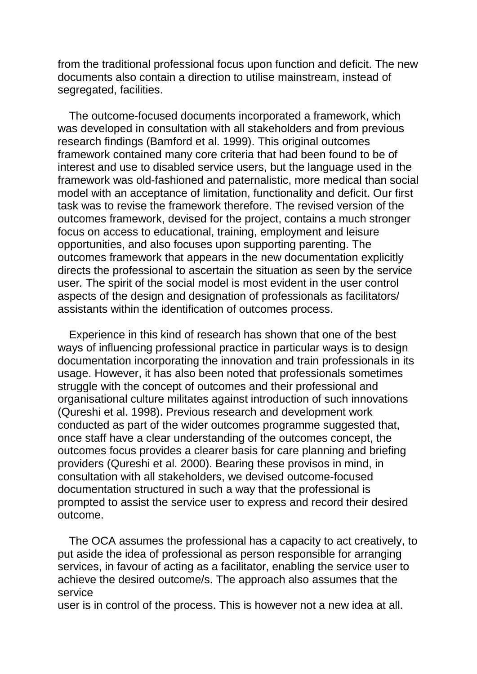from the traditional professional focus upon function and deficit. The new documents also contain a direction to utilise mainstream, instead of segregated, facilities.

The outcome-focused documents incorporated a framework, which was developed in consultation with all stakeholders and from previous research findings (Bamford et al. 1999). This original outcomes framework contained many core criteria that had been found to be of interest and use to disabled service users, but the language used in the framework was old-fashioned and paternalistic, more medical than social model with an acceptance of limitation, functionality and deficit. Our first task was to revise the framework therefore. The revised version of the outcomes framework, devised for the project, contains a much stronger focus on access to educational, training, employment and leisure opportunities, and also focuses upon supporting parenting. The outcomes framework that appears in the new documentation explicitly directs the professional to ascertain the situation as seen by the service user*.* The spirit of the social model is most evident in the user control aspects of the design and designation of professionals as facilitators/ assistants within the identification of outcomes process.

Experience in this kind of research has shown that one of the best ways of influencing professional practice in particular ways is to design documentation incorporating the innovation and train professionals in its usage. However, it has also been noted that professionals sometimes struggle with the concept of outcomes and their professional and organisational culture militates against introduction of such innovations (Qureshi et al. 1998). Previous research and development work conducted as part of the wider outcomes programme suggested that, once staff have a clear understanding of the outcomes concept, the outcomes focus provides a clearer basis for care planning and briefing providers (Qureshi et al. 2000). Bearing these provisos in mind, in consultation with all stakeholders, we devised outcome-focused documentation structured in such a way that the professional is prompted to assist the service user to express and record their desired outcome.

The OCA assumes the professional has a capacity to act creatively, to put aside the idea of professional as person responsible for arranging services, in favour of acting as a facilitator, enabling the service user to achieve the desired outcome/s. The approach also assumes that the service

user is in control of the process. This is however not a new idea at all.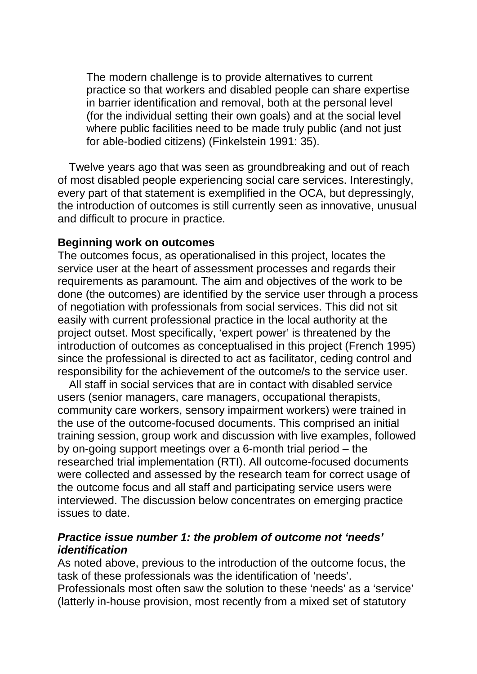The modern challenge is to provide alternatives to current practice so that workers and disabled people can share expertise in barrier identification and removal, both at the personal level (for the individual setting their own goals) and at the social level where public facilities need to be made truly public (and not just for able-bodied citizens) (Finkelstein 1991: 35).

Twelve years ago that was seen as groundbreaking and out of reach of most disabled people experiencing social care services. Interestingly, every part of that statement is exemplified in the OCA, but depressingly, the introduction of outcomes is still currently seen as innovative, unusual and difficult to procure in practice.

#### **Beginning work on outcomes**

The outcomes focus, as operationalised in this project, locates the service user at the heart of assessment processes and regards their requirements as paramount. The aim and objectives of the work to be done (the outcomes) are identified by the service user through a process of negotiation with professionals from social services. This did not sit easily with current professional practice in the local authority at the project outset. Most specifically, 'expert power' is threatened by the introduction of outcomes as conceptualised in this project (French 1995) since the professional is directed to act as facilitator, ceding control and responsibility for the achievement of the outcome/s to the service user.

All staff in social services that are in contact with disabled service users (senior managers, care managers, occupational therapists, community care workers, sensory impairment workers) were trained in the use of the outcome-focused documents. This comprised an initial training session, group work and discussion with live examples, followed by on-going support meetings over a 6-month trial period – the researched trial implementation (RTI). All outcome-focused documents were collected and assessed by the research team for correct usage of the outcome focus and all staff and participating service users were interviewed. The discussion below concentrates on emerging practice issues to date.

## *Practice issue number 1: the problem of outcome not 'needs' identification*

As noted above, previous to the introduction of the outcome focus, the task of these professionals was the identification of 'needs'.

Professionals most often saw the solution to these 'needs' as a 'service' (latterly in-house provision, most recently from a mixed set of statutory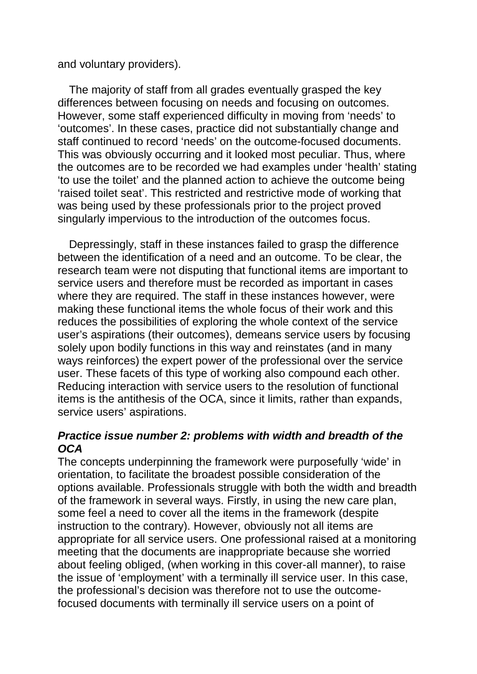and voluntary providers).

The majority of staff from all grades eventually grasped the key differences between focusing on needs and focusing on outcomes. However, some staff experienced difficulty in moving from 'needs' to 'outcomes'. In these cases, practice did not substantially change and staff continued to record 'needs' on the outcome-focused documents. This was obviously occurring and it looked most peculiar. Thus, where the outcomes are to be recorded we had examples under 'health' stating 'to use the toilet' and the planned action to achieve the outcome being 'raised toilet seat'. This restricted and restrictive mode of working that was being used by these professionals prior to the project proved singularly impervious to the introduction of the outcomes focus.

Depressingly, staff in these instances failed to grasp the difference between the identification of a need and an outcome. To be clear, the research team were not disputing that functional items are important to service users and therefore must be recorded as important in cases where they are required. The staff in these instances however, were making these functional items the whole focus of their work and this reduces the possibilities of exploring the whole context of the service user's aspirations (their outcomes), demeans service users by focusing solely upon bodily functions in this way and reinstates (and in many ways reinforces) the expert power of the professional over the service user. These facets of this type of working also compound each other. Reducing interaction with service users to the resolution of functional items is the antithesis of the OCA, since it limits, rather than expands, service users' aspirations.

# *Practice issue number 2: problems with width and breadth of the OCA*

The concepts underpinning the framework were purposefully 'wide' in orientation, to facilitate the broadest possible consideration of the options available. Professionals struggle with both the width and breadth of the framework in several ways. Firstly, in using the new care plan, some feel a need to cover all the items in the framework (despite instruction to the contrary). However, obviously not all items are appropriate for all service users. One professional raised at a monitoring meeting that the documents are inappropriate because she worried about feeling obliged, (when working in this cover-all manner), to raise the issue of 'employment' with a terminally ill service user. In this case, the professional's decision was therefore not to use the outcomefocused documents with terminally ill service users on a point of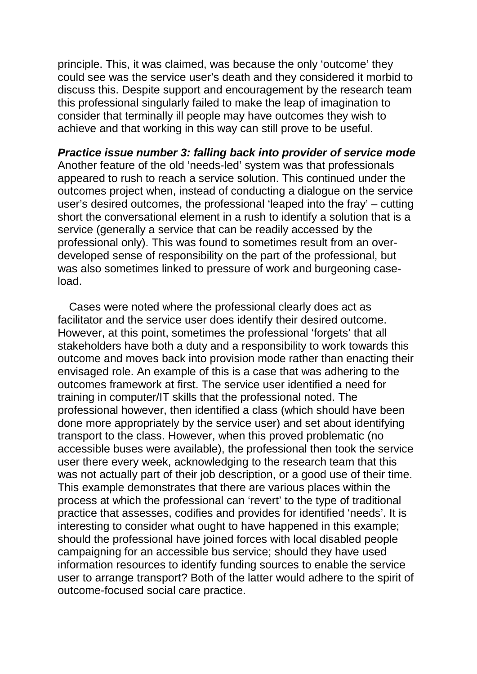principle. This, it was claimed, was because the only 'outcome' they could see was the service user's death and they considered it morbid to discuss this. Despite support and encouragement by the research team this professional singularly failed to make the leap of imagination to consider that terminally ill people may have outcomes they wish to achieve and that working in this way can still prove to be useful.

*Practice issue number 3: falling back into provider of service mode*  Another feature of the old 'needs-led' system was that professionals appeared to rush to reach a service solution. This continued under the outcomes project when, instead of conducting a dialogue on the service user's desired outcomes, the professional 'leaped into the fray' – cutting short the conversational element in a rush to identify a solution that is a service (generally a service that can be readily accessed by the professional only). This was found to sometimes result from an overdeveloped sense of responsibility on the part of the professional, but was also sometimes linked to pressure of work and burgeoning caseload.

Cases were noted where the professional clearly does act as facilitator and the service user does identify their desired outcome. However, at this point, sometimes the professional 'forgets' that all stakeholders have both a duty and a responsibility to work towards this outcome and moves back into provision mode rather than enacting their envisaged role. An example of this is a case that was adhering to the outcomes framework at first. The service user identified a need for training in computer/IT skills that the professional noted. The professional however, then identified a class (which should have been done more appropriately by the service user) and set about identifying transport to the class. However, when this proved problematic (no accessible buses were available), the professional then took the service user there every week, acknowledging to the research team that this was not actually part of their job description, or a good use of their time. This example demonstrates that there are various places within the process at which the professional can 'revert' to the type of traditional practice that assesses, codifies and provides for identified 'needs'. It is interesting to consider what ought to have happened in this example; should the professional have joined forces with local disabled people campaigning for an accessible bus service; should they have used information resources to identify funding sources to enable the service user to arrange transport? Both of the latter would adhere to the spirit of outcome-focused social care practice.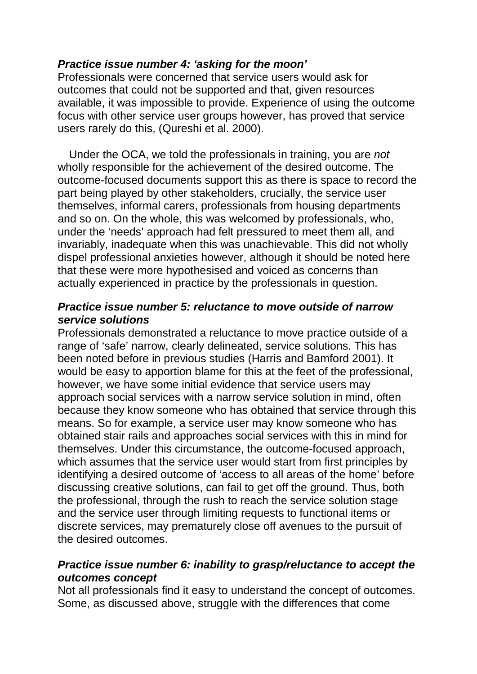# *Practice issue number 4: 'asking for the moon'*

Professionals were concerned that service users would ask for outcomes that could not be supported and that, given resources available, it was impossible to provide. Experience of using the outcome focus with other service user groups however, has proved that service users rarely do this, (Qureshi et al. 2000).

Under the OCA, we told the professionals in training, you are *not*  wholly responsible for the achievement of the desired outcome. The outcome-focused documents support this as there is space to record the part being played by other stakeholders, crucially, the service user themselves, informal carers, professionals from housing departments and so on. On the whole, this was welcomed by professionals, who, under the 'needs' approach had felt pressured to meet them all, and invariably, inadequate when this was unachievable. This did not wholly dispel professional anxieties however, although it should be noted here that these were more hypothesised and voiced as concerns than actually experienced in practice by the professionals in question.

# *Practice issue number 5: reluctance to move outside of narrow service solutions*

Professionals demonstrated a reluctance to move practice outside of a range of 'safe' narrow, clearly delineated, service solutions. This has been noted before in previous studies (Harris and Bamford 2001). It would be easy to apportion blame for this at the feet of the professional, however, we have some initial evidence that service users may approach social services with a narrow service solution in mind, often because they know someone who has obtained that service through this means. So for example, a service user may know someone who has obtained stair rails and approaches social services with this in mind for themselves. Under this circumstance, the outcome-focused approach, which assumes that the service user would start from first principles by identifying a desired outcome of 'access to all areas of the home' before discussing creative solutions, can fail to get off the ground. Thus, both the professional, through the rush to reach the service solution stage and the service user through limiting requests to functional items or discrete services, may prematurely close off avenues to the pursuit of the desired outcomes.

# *Practice issue number 6: inability to grasp/reluctance to accept the outcomes concept*

Not all professionals find it easy to understand the concept of outcomes. Some, as discussed above, struggle with the differences that come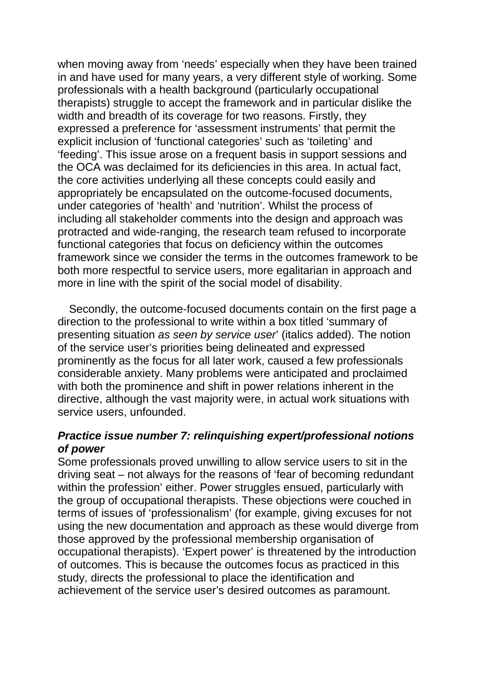when moving away from 'needs' especially when they have been trained in and have used for many years, a very different style of working. Some professionals with a health background (particularly occupational therapists) struggle to accept the framework and in particular dislike the width and breadth of its coverage for two reasons. Firstly, they expressed a preference for 'assessment instruments' that permit the explicit inclusion of 'functional categories' such as 'toileting' and 'feeding'. This issue arose on a frequent basis in support sessions and the OCA was declaimed for its deficiencies in this area. In actual fact, the core activities underlying all these concepts could easily and appropriately be encapsulated on the outcome-focused documents, under categories of 'health' and 'nutrition'. Whilst the process of including all stakeholder comments into the design and approach was protracted and wide-ranging, the research team refused to incorporate functional categories that focus on deficiency within the outcomes framework since we consider the terms in the outcomes framework to be both more respectful to service users, more egalitarian in approach and more in line with the spirit of the social model of disability.

Secondly, the outcome-focused documents contain on the first page a direction to the professional to write within a box titled 'summary of presenting situation *as seen by service user*' (italics added). The notion of the service user's priorities being delineated and expressed prominently as the focus for all later work, caused a few professionals considerable anxiety. Many problems were anticipated and proclaimed with both the prominence and shift in power relations inherent in the directive, although the vast majority were, in actual work situations with service users, unfounded.

# *Practice issue number 7: relinquishing expert/professional notions of power*

Some professionals proved unwilling to allow service users to sit in the driving seat – not always for the reasons of 'fear of becoming redundant within the profession' either. Power struggles ensued, particularly with the group of occupational therapists. These objections were couched in terms of issues of 'professionalism' (for example, giving excuses for not using the new documentation and approach as these would diverge from those approved by the professional membership organisation of occupational therapists). 'Expert power' is threatened by the introduction of outcomes. This is because the outcomes focus as practiced in this study, directs the professional to place the identification and achievement of the service user's desired outcomes as paramount.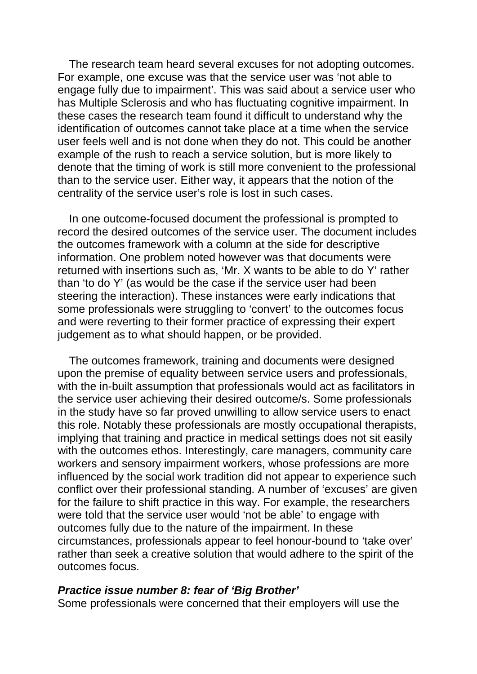The research team heard several excuses for not adopting outcomes. For example, one excuse was that the service user was 'not able to engage fully due to impairment'. This was said about a service user who has Multiple Sclerosis and who has fluctuating cognitive impairment. In these cases the research team found it difficult to understand why the identification of outcomes cannot take place at a time when the service user feels well and is not done when they do not. This could be another example of the rush to reach a service solution, but is more likely to denote that the timing of work is still more convenient to the professional than to the service user. Either way, it appears that the notion of the centrality of the service user's role is lost in such cases.

In one outcome-focused document the professional is prompted to record the desired outcomes of the service user. The document includes the outcomes framework with a column at the side for descriptive information. One problem noted however was that documents were returned with insertions such as, 'Mr. X wants to be able to do Y' rather than 'to do Y' (as would be the case if the service user had been steering the interaction). These instances were early indications that some professionals were struggling to 'convert' to the outcomes focus and were reverting to their former practice of expressing their expert judgement as to what should happen, or be provided.

The outcomes framework, training and documents were designed upon the premise of equality between service users and professionals, with the in-built assumption that professionals would act as facilitators in the service user achieving their desired outcome/s. Some professionals in the study have so far proved unwilling to allow service users to enact this role. Notably these professionals are mostly occupational therapists, implying that training and practice in medical settings does not sit easily with the outcomes ethos. Interestingly, care managers, community care workers and sensory impairment workers, whose professions are more influenced by the social work tradition did not appear to experience such conflict over their professional standing. A number of 'excuses' are given for the failure to shift practice in this way. For example, the researchers were told that the service user would 'not be able' to engage with outcomes fully due to the nature of the impairment. In these circumstances, professionals appear to feel honour-bound to 'take over' rather than seek a creative solution that would adhere to the spirit of the outcomes focus.

#### *Practice issue number 8: fear of 'Big Brother'*

Some professionals were concerned that their employers will use the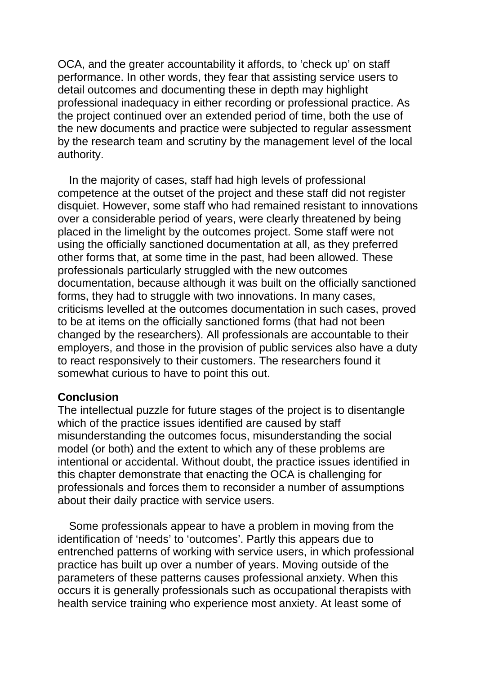OCA, and the greater accountability it affords, to 'check up' on staff performance. In other words, they fear that assisting service users to detail outcomes and documenting these in depth may highlight professional inadequacy in either recording or professional practice. As the project continued over an extended period of time, both the use of the new documents and practice were subjected to regular assessment by the research team and scrutiny by the management level of the local authority.

In the majority of cases, staff had high levels of professional competence at the outset of the project and these staff did not register disquiet. However, some staff who had remained resistant to innovations over a considerable period of years, were clearly threatened by being placed in the limelight by the outcomes project. Some staff were not using the officially sanctioned documentation at all, as they preferred other forms that, at some time in the past, had been allowed. These professionals particularly struggled with the new outcomes documentation, because although it was built on the officially sanctioned forms, they had to struggle with two innovations. In many cases, criticisms levelled at the outcomes documentation in such cases, proved to be at items on the officially sanctioned forms (that had not been changed by the researchers). All professionals are accountable to their employers, and those in the provision of public services also have a duty to react responsively to their customers. The researchers found it somewhat curious to have to point this out.

## **Conclusion**

The intellectual puzzle for future stages of the project is to disentangle which of the practice issues identified are caused by staff misunderstanding the outcomes focus, misunderstanding the social model (or both) and the extent to which any of these problems are intentional or accidental. Without doubt, the practice issues identified in this chapter demonstrate that enacting the OCA is challenging for professionals and forces them to reconsider a number of assumptions about their daily practice with service users.

Some professionals appear to have a problem in moving from the identification of 'needs' to 'outcomes'. Partly this appears due to entrenched patterns of working with service users, in which professional practice has built up over a number of years. Moving outside of the parameters of these patterns causes professional anxiety. When this occurs it is generally professionals such as occupational therapists with health service training who experience most anxiety. At least some of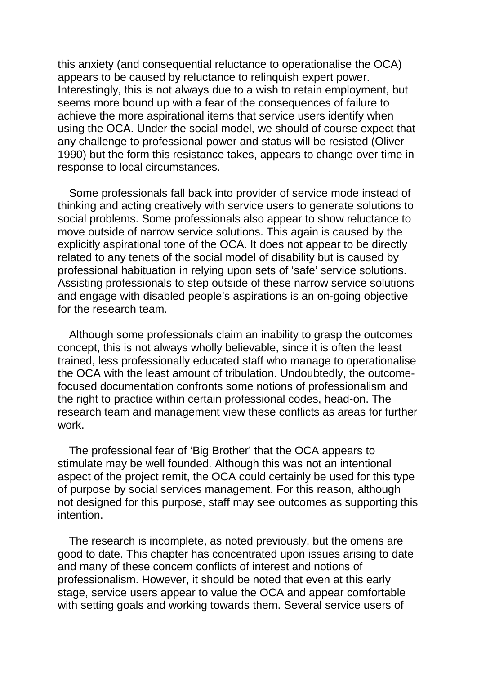this anxiety (and consequential reluctance to operationalise the OCA) appears to be caused by reluctance to relinquish expert power. Interestingly, this is not always due to a wish to retain employment, but seems more bound up with a fear of the consequences of failure to achieve the more aspirational items that service users identify when using the OCA. Under the social model, we should of course expect that any challenge to professional power and status will be resisted (Oliver 1990) but the form this resistance takes, appears to change over time in response to local circumstances.

Some professionals fall back into provider of service mode instead of thinking and acting creatively with service users to generate solutions to social problems. Some professionals also appear to show reluctance to move outside of narrow service solutions. This again is caused by the explicitly aspirational tone of the OCA. It does not appear to be directly related to any tenets of the social model of disability but is caused by professional habituation in relying upon sets of 'safe' service solutions. Assisting professionals to step outside of these narrow service solutions and engage with disabled people's aspirations is an on-going objective for the research team.

Although some professionals claim an inability to grasp the outcomes concept, this is not always wholly believable, since it is often the least trained, less professionally educated staff who manage to operationalise the OCA with the least amount of tribulation. Undoubtedly, the outcomefocused documentation confronts some notions of professionalism and the right to practice within certain professional codes, head-on. The research team and management view these conflicts as areas for further work.

The professional fear of 'Big Brother' that the OCA appears to stimulate may be well founded. Although this was not an intentional aspect of the project remit, the OCA could certainly be used for this type of purpose by social services management. For this reason, although not designed for this purpose, staff may see outcomes as supporting this intention.

The research is incomplete, as noted previously, but the omens are good to date. This chapter has concentrated upon issues arising to date and many of these concern conflicts of interest and notions of professionalism. However, it should be noted that even at this early stage, service users appear to value the OCA and appear comfortable with setting goals and working towards them. Several service users of